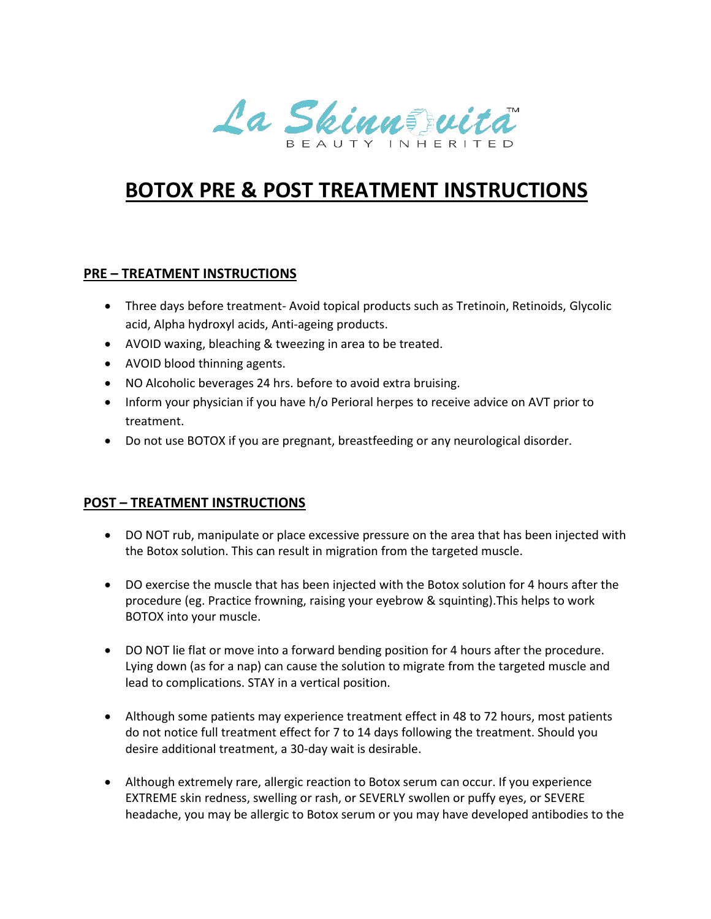La Skinnstwita

## **BOTOX PRE & POST TREATMENT INSTRUCTIONS**

## **PRE – TREATMENT INSTRUCTIONS**

- Three days before treatment- Avoid topical products such as Tretinoin, Retinoids, Glycolic acid, Alpha hydroxyl acids, Anti-ageing products.
- AVOID waxing, bleaching & tweezing in area to be treated.
- AVOID blood thinning agents.
- NO Alcoholic beverages 24 hrs. before to avoid extra bruising.
- Inform your physician if you have h/o Perioral herpes to receive advice on AVT prior to treatment.
- Do not use BOTOX if you are pregnant, breastfeeding or any neurological disorder.

## **POST – TREATMENT INSTRUCTIONS**

- DO NOT rub, manipulate or place excessive pressure on the area that has been injected with the Botox solution. This can result in migration from the targeted muscle.
- DO exercise the muscle that has been injected with the Botox solution for 4 hours after the procedure (eg. Practice frowning, raising your eyebrow & squinting).This helps to work BOTOX into your muscle.
- DO NOT lie flat or move into a forward bending position for 4 hours after the procedure. Lying down (as for a nap) can cause the solution to migrate from the targeted muscle and lead to complications. STAY in a vertical position.
- Although some patients may experience treatment effect in 48 to 72 hours, most patients do not notice full treatment effect for 7 to 14 days following the treatment. Should you desire additional treatment, a 30-day wait is desirable.
- Although extremely rare, allergic reaction to Botox serum can occur. If you experience EXTREME skin redness, swelling or rash, or SEVERLY swollen or puffy eyes, or SEVERE headache, you may be allergic to Botox serum or you may have developed antibodies to the